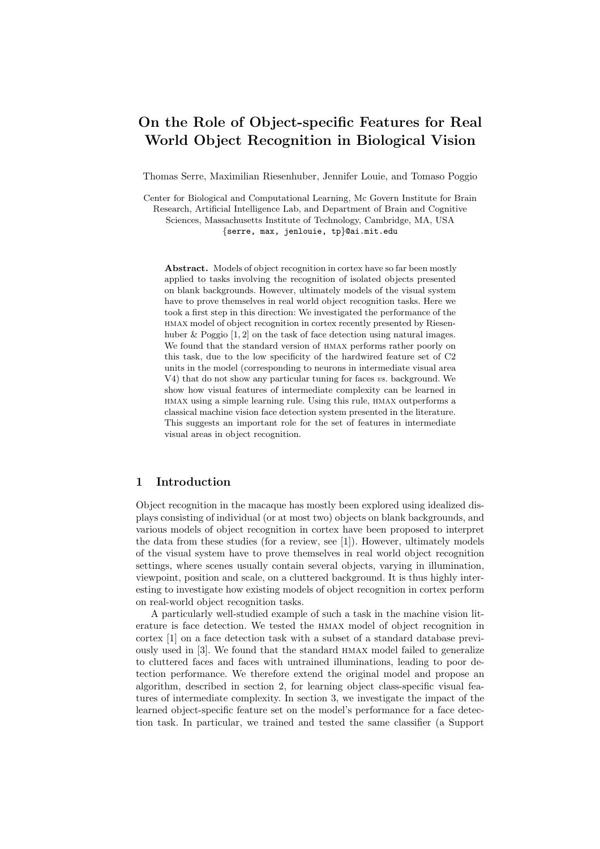# On the Role of Object-specific Features for Real World Object Recognition in Biological Vision

Thomas Serre, Maximilian Riesenhuber, Jennifer Louie, and Tomaso Poggio

Center for Biological and Computational Learning, Mc Govern Institute for Brain Research, Artificial Intelligence Lab, and Department of Brain and Cognitive Sciences, Massachusetts Institute of Technology, Cambridge, MA, USA {serre, max, jenlouie, tp}@ai.mit.edu

Abstract. Models of object recognition in cortex have so far been mostly applied to tasks involving the recognition of isolated objects presented on blank backgrounds. However, ultimately models of the visual system have to prove themselves in real world object recognition tasks. Here we took a first step in this direction: We investigated the performance of the hmax model of object recognition in cortex recently presented by Riesenhuber & Poggio  $[1, 2]$  on the task of face detection using natural images. We found that the standard version of HMAX performs rather poorly on this task, due to the low specificity of the hardwired feature set of C2 units in the model (corresponding to neurons in intermediate visual area V4) that do not show any particular tuning for faces vs. background. We show how visual features of intermediate complexity can be learned in hmax using a simple learning rule. Using this rule, hmax outperforms a classical machine vision face detection system presented in the literature. This suggests an important role for the set of features in intermediate visual areas in object recognition.

# 1 Introduction

Object recognition in the macaque has mostly been explored using idealized displays consisting of individual (or at most two) objects on blank backgrounds, and various models of object recognition in cortex have been proposed to interpret the data from these studies (for a review, see [1]). However, ultimately models of the visual system have to prove themselves in real world object recognition settings, where scenes usually contain several objects, varying in illumination, viewpoint, position and scale, on a cluttered background. It is thus highly interesting to investigate how existing models of object recognition in cortex perform on real-world object recognition tasks.

A particularly well-studied example of such a task in the machine vision literature is face detection. We tested the hmax model of object recognition in cortex [1] on a face detection task with a subset of a standard database previously used in [3]. We found that the standard hmax model failed to generalize to cluttered faces and faces with untrained illuminations, leading to poor detection performance. We therefore extend the original model and propose an algorithm, described in section 2, for learning object class-specific visual features of intermediate complexity. In section 3, we investigate the impact of the learned object-specific feature set on the model's performance for a face detection task. In particular, we trained and tested the same classifier (a Support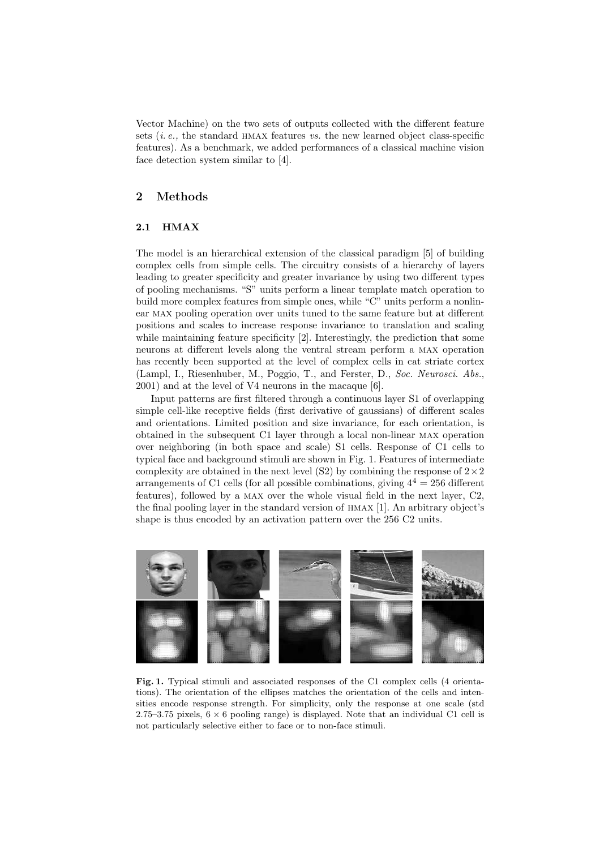Vector Machine) on the two sets of outputs collected with the different feature sets (*i. e.*, the standard HMAX features *vs.* the new learned object class-specific features). As a benchmark, we added performances of a classical machine vision face detection system similar to [4].

# 2 Methods

# 2.1 HMAX

The model is an hierarchical extension of the classical paradigm [5] of building complex cells from simple cells. The circuitry consists of a hierarchy of layers leading to greater specificity and greater invariance by using two different types of pooling mechanisms. "S" units perform a linear template match operation to build more complex features from simple ones, while "C" units perform a nonlinear max pooling operation over units tuned to the same feature but at different positions and scales to increase response invariance to translation and scaling while maintaining feature specificity [2]. Interestingly, the prediction that some neurons at different levels along the ventral stream perform a max operation has recently been supported at the level of complex cells in cat striate cortex (Lampl, I., Riesenhuber, M., Poggio, T., and Ferster, D., Soc. Neurosci. Abs., 2001) and at the level of V4 neurons in the macaque [6].

Input patterns are first filtered through a continuous layer S1 of overlapping simple cell-like receptive fields (first derivative of gaussians) of different scales and orientations. Limited position and size invariance, for each orientation, is obtained in the subsequent C1 layer through a local non-linear max operation over neighboring (in both space and scale) S1 cells. Response of C1 cells to typical face and background stimuli are shown in Fig. 1. Features of intermediate complexity are obtained in the next level (S2) by combining the response of  $2 \times 2$ arrangements of C1 cells (for all possible combinations, giving  $4^4 = 256$  different features), followed by a max over the whole visual field in the next layer, C2, the final pooling layer in the standard version of hmax [1]. An arbitrary object's shape is thus encoded by an activation pattern over the 256 C2 units.



Fig. 1. Typical stimuli and associated responses of the C1 complex cells (4 orientations). The orientation of the ellipses matches the orientation of the cells and intensities encode response strength. For simplicity, only the response at one scale (std 2.75–3.75 pixels,  $6 \times 6$  pooling range) is displayed. Note that an individual C1 cell is not particularly selective either to face or to non-face stimuli.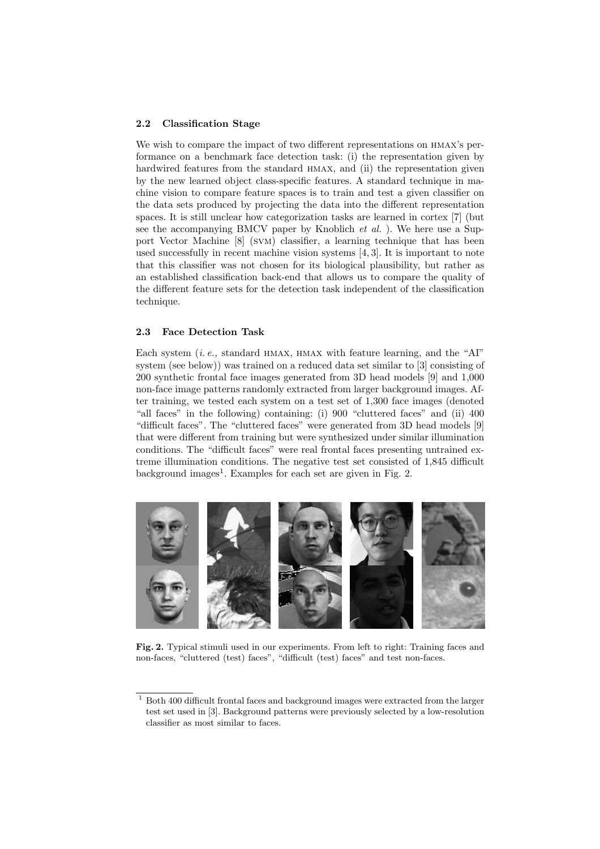#### 2.2 Classification Stage

We wish to compare the impact of two different representations on  $HMAX's$  performance on a benchmark face detection task: (i) the representation given by hardwired features from the standard HMAX, and (ii) the representation given by the new learned object class-specific features. A standard technique in machine vision to compare feature spaces is to train and test a given classifier on the data sets produced by projecting the data into the different representation spaces. It is still unclear how categorization tasks are learned in cortex [7] (but see the accompanying BMCV paper by Knoblich *et al.* ). We here use a Support Vector Machine [8] (svm) classifier, a learning technique that has been used successfully in recent machine vision systems [4, 3]. It is important to note that this classifier was not chosen for its biological plausibility, but rather as an established classification back-end that allows us to compare the quality of the different feature sets for the detection task independent of the classification technique.

### 2.3 Face Detection Task

Each system (*i.e.*, standard HMAX, HMAX with feature learning, and the "AI" system (see below)) was trained on a reduced data set similar to [3] consisting of 200 synthetic frontal face images generated from 3D head models [9] and 1,000 non-face image patterns randomly extracted from larger background images. After training, we tested each system on a test set of 1,300 face images (denoted "all faces" in the following) containing: (i) 900 "cluttered faces" and (ii) 400 "difficult faces". The "cluttered faces" were generated from 3D head models [9] that were different from training but were synthesized under similar illumination conditions. The "difficult faces" were real frontal faces presenting untrained extreme illumination conditions. The negative test set consisted of 1,845 difficult background images<sup>1</sup>. Examples for each set are given in Fig. 2.



Fig. 2. Typical stimuli used in our experiments. From left to right: Training faces and non-faces, "cluttered (test) faces", "difficult (test) faces" and test non-faces.

 $^{\rm 1}$  Both 400 difficult frontal faces and background images were extracted from the larger test set used in [3]. Background patterns were previously selected by a low-resolution classifier as most similar to faces.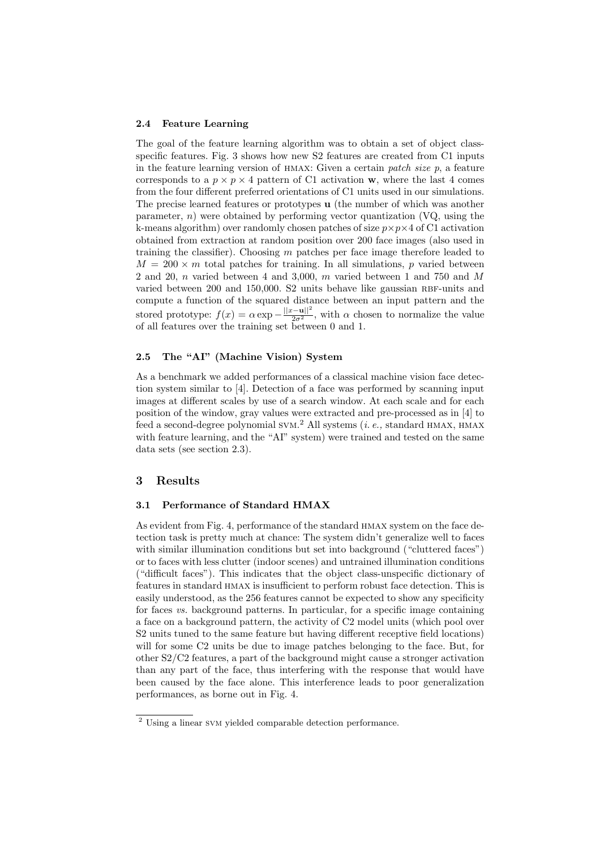#### 2.4 Feature Learning

The goal of the feature learning algorithm was to obtain a set of object classspecific features. Fig. 3 shows how new S2 features are created from C1 inputs in the feature learning version of  $HMAX$ : Given a certain patch size p, a feature corresponds to a  $p \times p \times 4$  pattern of C1 activation w, where the last 4 comes from the four different preferred orientations of C1 units used in our simulations. The precise learned features or prototypes u (the number of which was another parameter,  $n$ ) were obtained by performing vector quantization (VQ, using the k-means algorithm) over randomly chosen patches of size  $p \times p \times 4$  of C1 activation obtained from extraction at random position over 200 face images (also used in training the classifier). Choosing  $m$  patches per face image therefore leaded to  $M = 200 \times m$  total patches for training. In all simulations, p varied between 2 and 20, n varied between 4 and 3,000, m varied between 1 and 750 and M varied between  $200$  and  $150,000$ . S2 units behave like gaussian RBF-units and compute a function of the squared distance between an input pattern and the stored prototype:  $f(x) = \alpha \exp{-\frac{||x-\mathbf{u}||^2}{2\sigma^2}}$ , with  $\alpha$  chosen to normalize the value of all features over the training set between 0 and 1.

## 2.5 The "AI" (Machine Vision) System

As a benchmark we added performances of a classical machine vision face detection system similar to [4]. Detection of a face was performed by scanning input images at different scales by use of a search window. At each scale and for each position of the window, gray values were extracted and pre-processed as in [4] to feed a second-degree polynomial  $\text{SVM.}^2$  All systems (*i.e.*, standard HMAX, HMAX with feature learning, and the "AI" system) were trained and tested on the same data sets (see section 2.3).

## 3 Results

#### 3.1 Performance of Standard HMAX

As evident from Fig. 4, performance of the standard hmax system on the face detection task is pretty much at chance: The system didn't generalize well to faces with similar illumination conditions but set into background ("cluttered faces") or to faces with less clutter (indoor scenes) and untrained illumination conditions ("difficult faces"). This indicates that the object class-unspecific dictionary of features in standard hmax is insufficient to perform robust face detection. This is easily understood, as the 256 features cannot be expected to show any specificity for faces vs. background patterns. In particular, for a specific image containing a face on a background pattern, the activity of C2 model units (which pool over S2 units tuned to the same feature but having different receptive field locations) will for some C2 units be due to image patches belonging to the face. But, for other S2/C2 features, a part of the background might cause a stronger activation than any part of the face, thus interfering with the response that would have been caused by the face alone. This interference leads to poor generalization performances, as borne out in Fig. 4.

<sup>2</sup> Using a linear svm yielded comparable detection performance.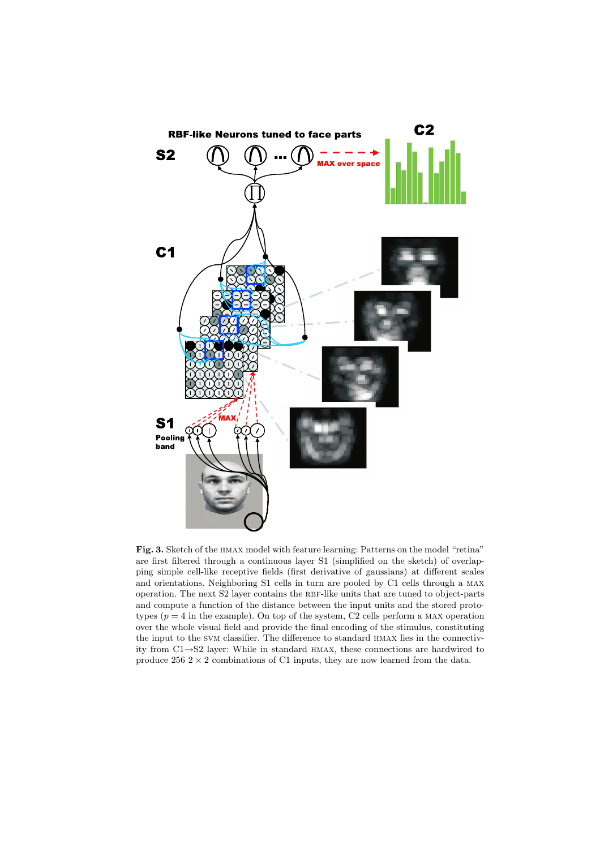

Fig. 3. Sketch of the HMAX model with feature learning: Patterns on the model "retina" are first filtered through a continuous layer S1 (simplified on the sketch) of overlapping simple cell-like receptive fields (first derivative of gaussians) at different scales and orientations. Neighboring S1 cells in turn are pooled by C1 cells through a max operation. The next S2 layer contains the RBF-like units that are tuned to object-parts and compute a function of the distance between the input units and the stored prototypes ( $p = 4$  in the example). On top of the system, C2 cells perform a MAX operation over the whole visual field and provide the final encoding of the stimulus, constituting the input to the svm classifier. The difference to standard hmax lies in the connectivity from C1→S2 layer: While in standard hmax, these connections are hardwired to produce  $256\ 2 \times 2$  combinations of C1 inputs, they are now learned from the data.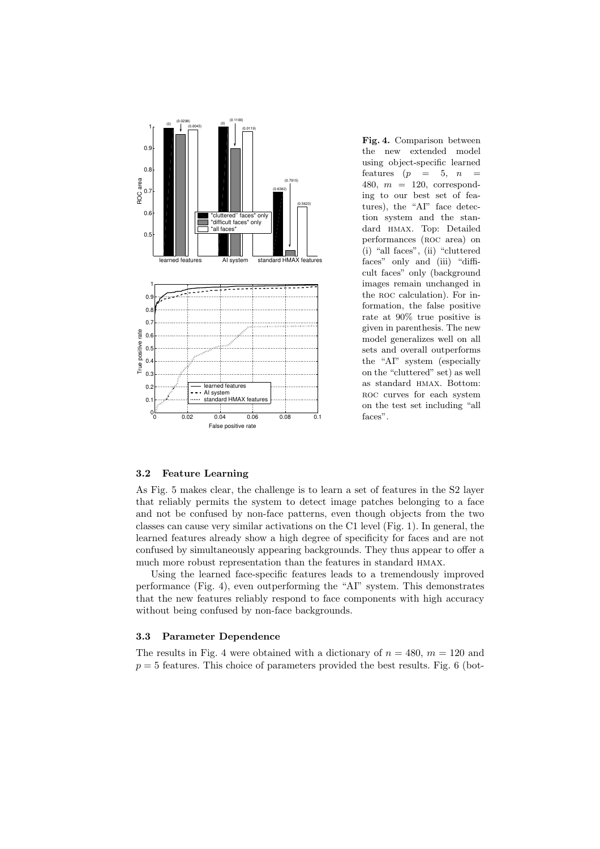

Fig. 4. Comparison between the new extended model using object-specific learned features  $(p = 5, n =$ 480,  $m = 120$ , corresponding to our best set of features), the "AI" face detection system and the standard hmax. Top: Detailed performances (roc area) on (i) "all faces", (ii) "cluttered faces" only and (iii) "difficult faces" only (background images remain unchanged in the roc calculation). For information, the false positive rate at 90% true positive is given in parenthesis. The new model generalizes well on all sets and overall outperforms the "AI" system (especially on the "cluttered" set) as well as standard hmax. Bottom: roc curves for each system on the test set including "all faces".

#### 3.2 Feature Learning

As Fig. 5 makes clear, the challenge is to learn a set of features in the S2 layer that reliably permits the system to detect image patches belonging to a face and not be confused by non-face patterns, even though objects from the two classes can cause very similar activations on the C1 level (Fig. 1). In general, the learned features already show a high degree of specificity for faces and are not confused by simultaneously appearing backgrounds. They thus appear to offer a much more robust representation than the features in standard hmax.

Using the learned face-specific features leads to a tremendously improved performance (Fig. 4), even outperforming the "AI" system. This demonstrates that the new features reliably respond to face components with high accuracy without being confused by non-face backgrounds.

#### 3.3 Parameter Dependence

The results in Fig. 4 were obtained with a dictionary of  $n = 480$ ,  $m = 120$  and  $p = 5$  features. This choice of parameters provided the best results. Fig. 6 (bot-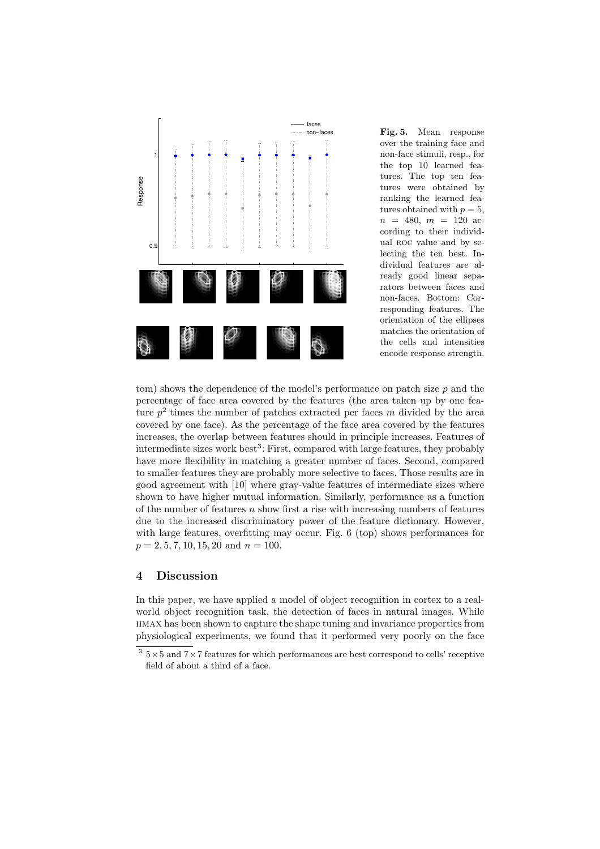

non–faces **Fig. 5.** Mean response over the training face and non-face stimuli, resp., for the top 10 learned features. The top ten features were obtained by ranking the learned features obtained with  $p = 5$ ,  $n = 480, m = 120$  according to their individual roc value and by selecting the ten best. Individual features are already good linear separators between faces and non-faces. Bottom: Corresponding features. The orientation of the ellipses matches the orientation of the cells and intensities encode response strength.

tom) shows the dependence of the model's performance on patch size  $p$  and the percentage of face area covered by the features (the area taken up by one feature  $p^2$  times the number of patches extracted per faces m divided by the area covered by one face). As the percentage of the face area covered by the features increases, the overlap between features should in principle increases. Features of intermediate sizes work best<sup>3</sup>: First, compared with large features, they probably have more flexibility in matching a greater number of faces. Second, compared to smaller features they are probably more selective to faces. Those results are in good agreement with [10] where gray-value features of intermediate sizes where shown to have higher mutual information. Similarly, performance as a function of the number of features  $n$  show first a rise with increasing numbers of features due to the increased discriminatory power of the feature dictionary. However, with large features, overfitting may occur. Fig. 6 (top) shows performances for  $p = 2, 5, 7, 10, 15, 20$  and  $n = 100$ .

# 4 Discussion

In this paper, we have applied a model of object recognition in cortex to a realworld object recognition task, the detection of faces in natural images. While hmax has been shown to capture the shape tuning and invariance properties from physiological experiments, we found that it performed very poorly on the face

 $^3$  5  $\times$  5 and 7  $\times$  7 features for which performances are best correspond to cells' receptive field of about a third of a face.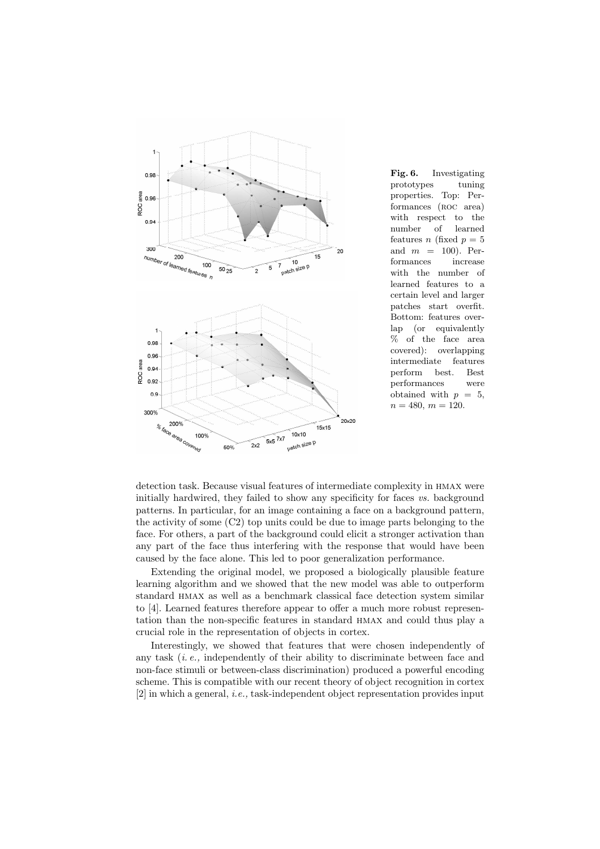

Fig. 6. Investigating prototypes tuning properties. Top: Performances (roc area) with respect to the number of learned features n (fixed  $p=5$ and  $m = 100$ . Performances increase with the number of learned features to a certain level and larger patches start overfit. Bottom: features overlap (or equivalently % of the face area covered): overlapping intermediate features perform best. Best performances were obtained with  $p = 5$ ,  $n = 480, m = 120.$ 

detection task. Because visual features of intermediate complexity in hmax were initially hardwired, they failed to show any specificity for faces vs. background patterns. In particular, for an image containing a face on a background pattern, the activity of some (C2) top units could be due to image parts belonging to the face. For others, a part of the background could elicit a stronger activation than any part of the face thus interfering with the response that would have been caused by the face alone. This led to poor generalization performance.

Extending the original model, we proposed a biologically plausible feature learning algorithm and we showed that the new model was able to outperform standard hmax as well as a benchmark classical face detection system similar to [4]. Learned features therefore appear to offer a much more robust representation than the non-specific features in standard hmax and could thus play a crucial role in the representation of objects in cortex.

Interestingly, we showed that features that were chosen independently of any task (i. e., independently of their ability to discriminate between face and non-face stimuli or between-class discrimination) produced a powerful encoding scheme. This is compatible with our recent theory of object recognition in cortex [2] in which a general, i.e., task-independent object representation provides input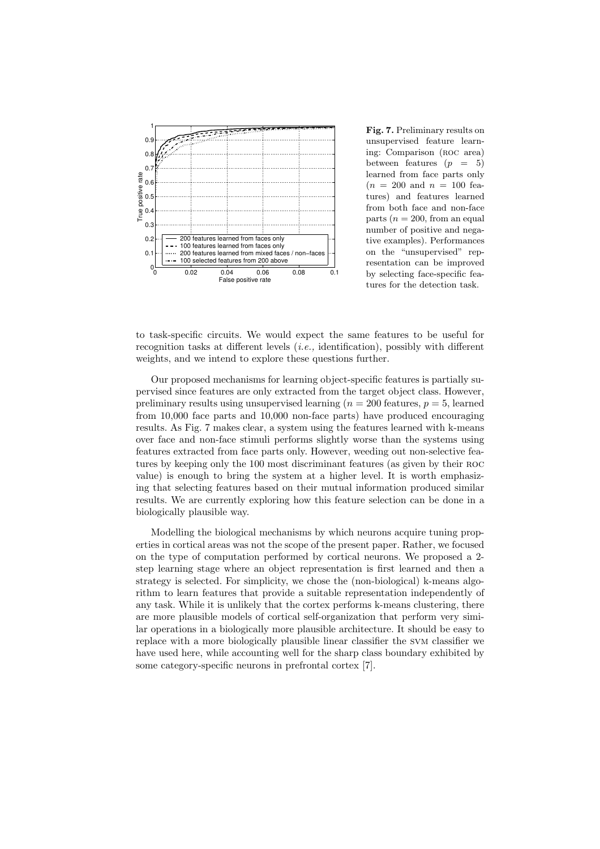

Fig. 7. Preliminary results on unsupervised feature learning: Comparison (roc area) between features  $(p = 5)$ learned from face parts only  $(n = 200 \text{ and } n = 100 \text{ fea})$ tures) and features learned from both face and non-face parts ( $n = 200$ , from an equal number of positive and negative examples). Performances on the "unsupervised" representation can be improved by selecting face-specific features for the detection task.

to task-specific circuits. We would expect the same features to be useful for recognition tasks at different levels (i.e., identification), possibly with different weights, and we intend to explore these questions further.

Our proposed mechanisms for learning object-specific features is partially supervised since features are only extracted from the target object class. However, preliminary results using unsupervised learning  $(n = 200 \text{ features}, p = 5, \text{learned})$ from 10,000 face parts and 10,000 non-face parts) have produced encouraging results. As Fig. 7 makes clear, a system using the features learned with k-means over face and non-face stimuli performs slightly worse than the systems using features extracted from face parts only. However, weeding out non-selective features by keeping only the 100 most discriminant features (as given by their roc value) is enough to bring the system at a higher level. It is worth emphasizing that selecting features based on their mutual information produced similar results. We are currently exploring how this feature selection can be done in a biologically plausible way.

Modelling the biological mechanisms by which neurons acquire tuning properties in cortical areas was not the scope of the present paper. Rather, we focused on the type of computation performed by cortical neurons. We proposed a 2 step learning stage where an object representation is first learned and then a strategy is selected. For simplicity, we chose the (non-biological) k-means algorithm to learn features that provide a suitable representation independently of any task. While it is unlikely that the cortex performs k-means clustering, there are more plausible models of cortical self-organization that perform very similar operations in a biologically more plausible architecture. It should be easy to replace with a more biologically plausible linear classifier the svm classifier we have used here, while accounting well for the sharp class boundary exhibited by some category-specific neurons in prefrontal cortex [7].